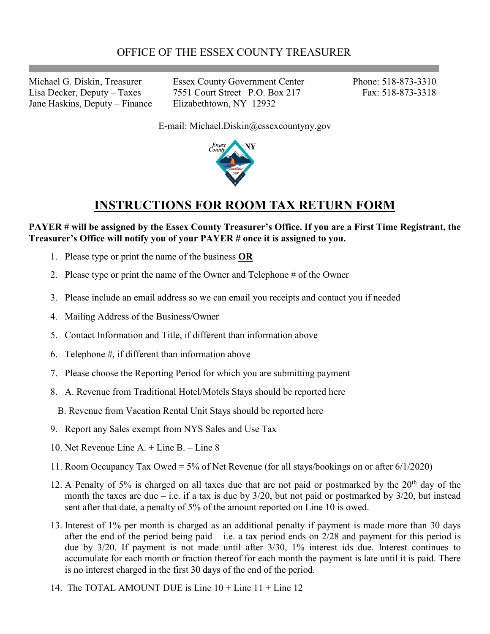Jane Haskins, Deputy – Finance Elizabethtown, NY 12932

Michael G. Diskin, Treasurer Essex County Government Center Phone: 518-873-3310 Lisa Decker, Deputy – Taxes 7551 Court Street P.O. Box 217 Fax: 518-873-3318

E-mail: Michael.Diskin@essexcountyny.gov



## **INSTRUCTIONS FOR ROOM TAX RETURN FORM**

## **PAYER # will be assigned by the Essex County Treasurer's Office. If you are a First Time Registrant, the Treasurer's Office will notify you of your PAYER # once it is assigned to you.**

- 1. Please type or print the name of the business **OR**
- 2. Please type or print the name of the Owner and Telephone # of the Owner
- 3. Please include an email address so we can email you receipts and contact you if needed
- 4. Mailing Address of the Business/Owner
- 5. Contact Information and Title, if different than information above
- 6. Telephone #, if different than information above
- 7. Please choose the Reporting Period for which you are submitting payment
- 8. A. Revenue from Traditional Hotel/Motels Stays should be reported here
	- B. Revenue from Vacation Rental Unit Stays should be reported here
- 9. Report any Sales exempt from NYS Sales and Use Tax
- 10. Net Revenue Line A. + Line B. Line 8
- 11. Room Occupancy Tax Owed = 5% of Net Revenue (for all stays/bookings on or after 6/1/2020)
- 12. A Penalty of 5% is charged on all taxes due that are not paid or postmarked by the  $20<sup>th</sup>$  day of the month the taxes are due – i.e. if a tax is due by  $3/20$ , but not paid or postmarked by  $3/20$ , but instead sent after that date, a penalty of 5% of the amount reported on Line 10 is owed.
- 13. Interest of 1% per month is charged as an additional penalty if payment is made more than 30 days after the end of the period being paid – i.e. a tax period ends on 2/28 and payment for this period is due by 3/20. If payment is not made until after 3/30, 1% interest ids due. Interest continues to accumulate for each month or fraction thereof for each month the payment is late until it is paid. There is no interest charged in the first 30 days of the end of the period.
- 14. The TOTAL AMOUNT DUE is Line 10 + Line 11 + Line 12